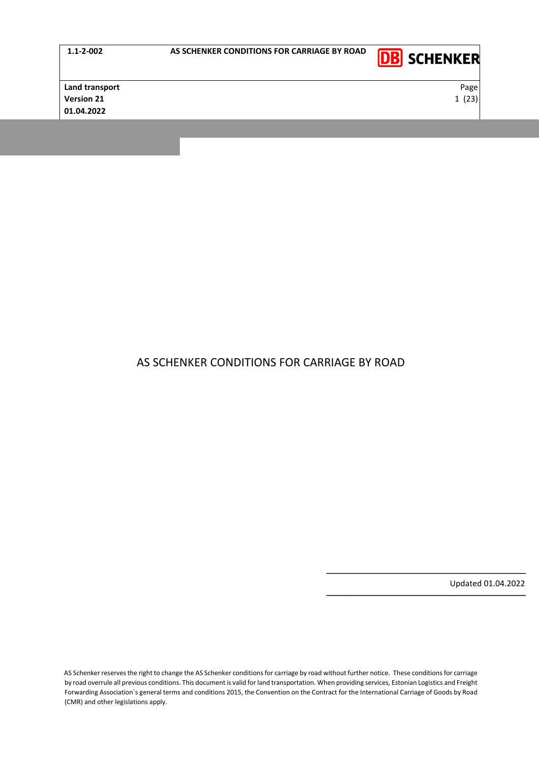|--|



**Land transport** Page **Version 21** 23) **1** 23 **01.04.2022**

# AS SCHENKER CONDITIONS FOR CARRIAGE BY ROAD

Updated 01.04.2022

−−−−−−−−−−−−−−−−−−−−−−−−−−−−−−−−−−−−−−−−−−−−

−−−−−−−−−−−−−−−−−−−−−−−−−−−−−−−−−−−−−−−−−−−−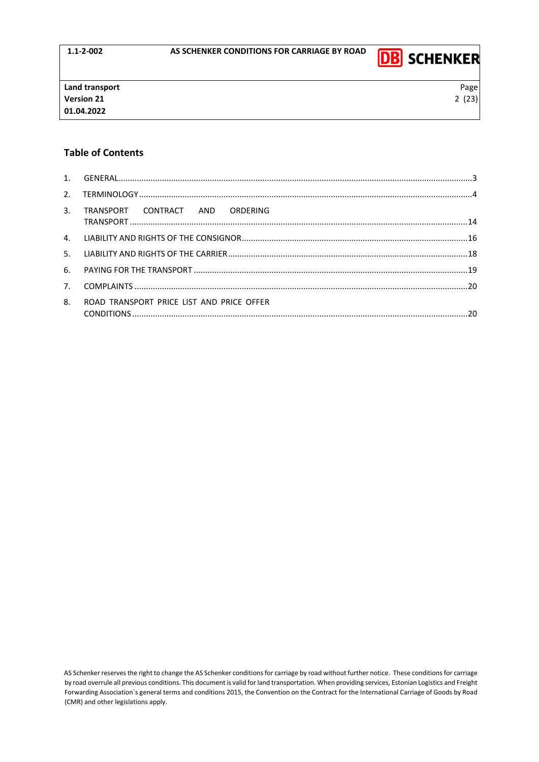

# **Table of Contents**

|    | 3. TRANSPORT CONTRACT AND ORDERING        |  |
|----|-------------------------------------------|--|
|    |                                           |  |
|    |                                           |  |
|    |                                           |  |
|    |                                           |  |
| 8. | ROAD TRANSPORT PRICE LIST AND PRICE OFFER |  |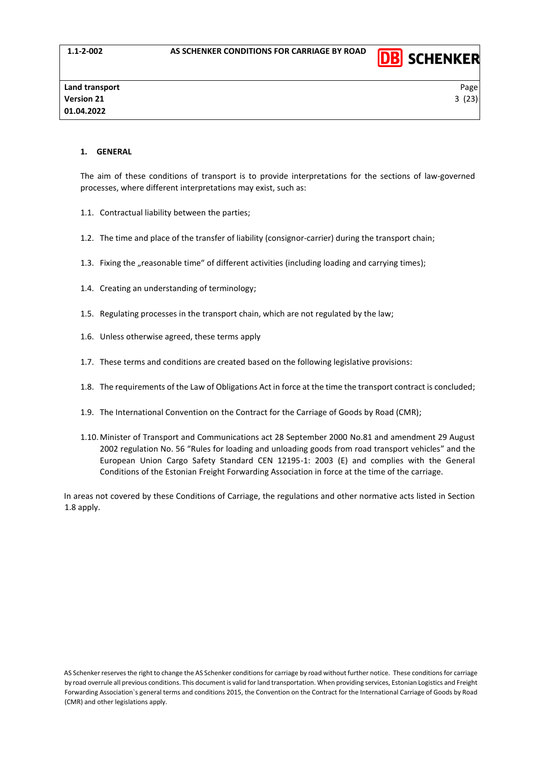

#### <span id="page-2-0"></span>**1. GENERAL**

The aim of these conditions of transport is to provide interpretations for the sections of law-governed processes, where different interpretations may exist, such as:

- 1.1. Contractual liability between the parties;
- 1.2. The time and place of the transfer of liability (consignor-carrier) during the transport chain;
- 1.3. Fixing the "reasonable time" of different activities (including loading and carrying times);
- 1.4. Creating an understanding of terminology;
- 1.5. Regulating processes in the transport chain, which are not regulated by the law;
- 1.6. Unless otherwise agreed, these terms apply
- 1.7. These terms and conditions are created based on the following legislative provisions:
- 1.8. The requirements of the Law of Obligations Act in force at the time the transport contract is concluded;
- 1.9. The International Convention on the Contract for the Carriage of Goods by Road (CMR);
- 1.10. Minister of Transport and Communications act 28 September 2000 No.81 and amendment 29 August 2002 regulation No. 56 "Rules for loading and unloading goods from road transport vehicles" and the European Union Cargo Safety Standard CEN 12195-1: 2003 (E) and complies with the General Conditions of the Estonian Freight Forwarding Association in force at the time of the carriage.

In areas not covered by these Conditions of Carriage, the regulations and other normative acts listed in Section 1.8 apply.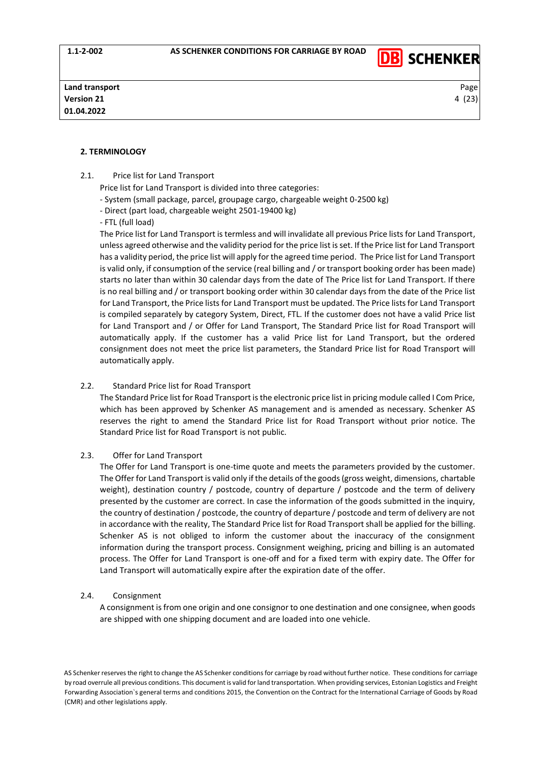

## <span id="page-3-0"></span>**2. TERMINOLOGY**

- 2.1. Price list for Land Transport
	- Price list for Land Transport is divided into three categories:
	- System (small package, parcel, groupage cargo, chargeable weight 0-2500 kg)
	- Direct (part load, chargeable weight 2501-19400 kg)
	- FTL (full load)

The Price list for Land Transport is termless and will invalidate all previous Price lists for Land Transport, unless agreed otherwise and the validity period for the price list is set. If the Price list for Land Transport has a validity period, the price list will apply for the agreed time period. The Price list for Land Transport is valid only, if consumption of the service (real billing and / or transport booking order has been made) starts no later than within 30 calendar days from the date of The Price list for Land Transport. If there is no real billing and / or transport booking order within 30 calendar days from the date of the Price list for Land Transport, the Price lists for Land Transport must be updated. The Price lists for Land Transport is compiled separately by category System, Direct, FTL. If the customer does not have a valid Price list for Land Transport and / or Offer for Land Transport, The Standard Price list for Road Transport will automatically apply. If the customer has a valid Price list for Land Transport, but the ordered consignment does not meet the price list parameters, the Standard Price list for Road Transport will automatically apply.

#### 2.2. Standard Price list for Road Transport

The Standard Price list for Road Transport is the electronic price list in pricing module called I Com Price, which has been approved by Schenker AS management and is amended as necessary. Schenker AS reserves the right to amend the Standard Price list for Road Transport without prior notice. The Standard Price list for Road Transport is not public.

#### 2.3. Offer for Land Transport

The Offer for Land Transport is one-time quote and meets the parameters provided by the customer. The Offer for Land Transport is valid only if the details of the goods (gross weight, dimensions, chartable weight), destination country / postcode, country of departure / postcode and the term of delivery presented by the customer are correct. In case the information of the goods submitted in the inquiry, the country of destination / postcode, the country of departure / postcode and term of delivery are not in accordance with the reality, The Standard Price list for Road Transport shall be applied for the billing. Schenker AS is not obliged to inform the customer about the inaccuracy of the consignment information during the transport process. Consignment weighing, pricing and billing is an automated process. The Offer for Land Transport is one-off and for a fixed term with expiry date. The Offer for Land Transport will automatically expire after the expiration date of the offer.

#### 2.4. Consignment

A consignment is from one origin and one consignor to one destination and one consignee, when goods are shipped with one shipping document and are loaded into one vehicle.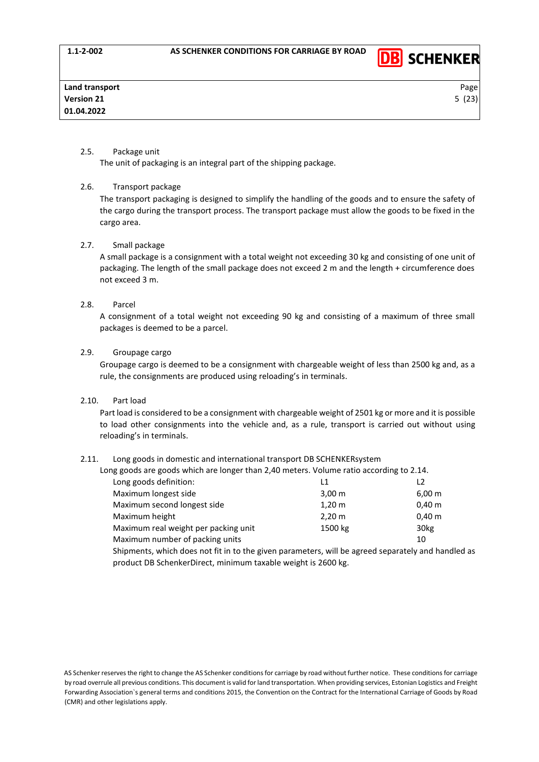

# 2.5. Package unit

The unit of packaging is an integral part of the shipping package.

# 2.6. Transport package

The transport packaging is designed to simplify the handling of the goods and to ensure the safety of the cargo during the transport process. The transport package must allow the goods to be fixed in the cargo area.

## 2.7. Small package

A small package is a consignment with a total weight not exceeding 30 kg and consisting of one unit of packaging. The length of the small package does not exceed 2 m and the length + circumference does not exceed 3 m.

# 2.8. Parcel

A consignment of a total weight not exceeding 90 kg and consisting of a maximum of three small packages is deemed to be a parcel.

## 2.9. Groupage cargo

Groupage cargo is deemed to be a consignment with chargeable weight of less than 2500 kg and, as a rule, the consignments are produced using reloading's in terminals.

# 2.10. Part load

Part load is considered to be a consignment with chargeable weight of 2501 kg or more and it is possible to load other consignments into the vehicle and, as a rule, transport is carried out without using reloading's in terminals.

# 2.11. Long goods in domestic and international transport DB SCHENKERsystem

| Long goods are goods which are longer than 2,40 meters. Volume ratio according to 2.14.                           |                      |                  |  |
|-------------------------------------------------------------------------------------------------------------------|----------------------|------------------|--|
| Long goods definition:                                                                                            | l 1                  |                  |  |
| Maximum longest side                                                                                              | $3,00 \; \text{m}$   | $6,00 \; m$      |  |
| Maximum second longest side                                                                                       | $1,20 \; \mathrm{m}$ | $0,40 \; m$      |  |
| Maximum height                                                                                                    | $2,20 \, \text{m}$   | $0,40 \; m$      |  |
| Maximum real weight per packing unit                                                                              | 1500 kg              | 30 <sub>kg</sub> |  |
| Maximum number of packing units                                                                                   |                      | 10               |  |
| ويمط الموري بالمفصوص والمحموم متمار الزبري وممقومون ومستورم والمستعار فالتله فمستحدث والمتحارب المفصوصون والمتحار |                      |                  |  |

Shipments, which does not fit in to the given parameters, will be agreed separately and handled as product DB SchenkerDirect, minimum taxable weight is 2600 kg.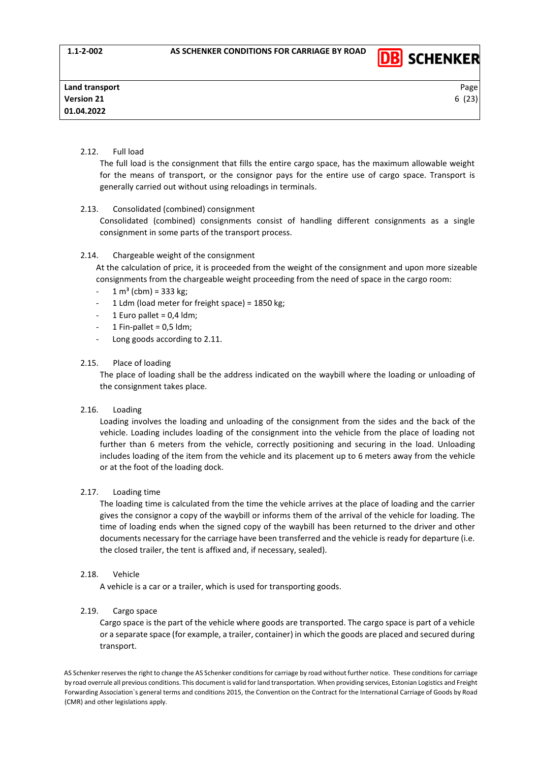

# 2.12. Full load

The full load is the consignment that fills the entire cargo space, has the maximum allowable weight for the means of transport, or the consignor pays for the entire use of cargo space. Transport is generally carried out without using reloadings in terminals.

# 2.13. Consolidated (combined) consignment

Consolidated (combined) consignments consist of handling different consignments as a single consignment in some parts of the transport process.

# 2.14. Chargeable weight of the consignment

At the calculation of price, it is proceeded from the weight of the consignment and upon more sizeable consignments from the chargeable weight proceeding from the need of space in the cargo room:

- $-1 m<sup>3</sup>$  (cbm) = 333 kg;
- 1 Ldm (load meter for freight space) =  $1850$  kg;
- 1 Euro pallet =  $0.4$  ldm;
- 1 Fin-pallet =  $0,5$  ldm;
- Long goods according to 2.11.

## 2.15. Place of loading

The place of loading shall be the address indicated on the waybill where the loading or unloading of the consignment takes place.

# 2.16. Loading

Loading involves the loading and unloading of the consignment from the sides and the back of the vehicle. Loading includes loading of the consignment into the vehicle from the place of loading not further than 6 meters from the vehicle, correctly positioning and securing in the load. Unloading includes loading of the item from the vehicle and its placement up to 6 meters away from the vehicle or at the foot of the loading dock.

# 2.17. Loading time

The loading time is calculated from the time the vehicle arrives at the place of loading and the carrier gives the consignor a copy of the waybill or informs them of the arrival of the vehicle for loading. The time of loading ends when the signed copy of the waybill has been returned to the driver and other documents necessary for the carriage have been transferred and the vehicle is ready for departure (i.e. the closed trailer, the tent is affixed and, if necessary, sealed).

#### 2.18. Vehicle

A vehicle is a car or a trailer, which is used for transporting goods.

# 2.19. Cargo space

Cargo space is the part of the vehicle where goods are transported. The cargo space is part of a vehicle or a separate space (for example, a trailer, container) in which the goods are placed and secured during transport.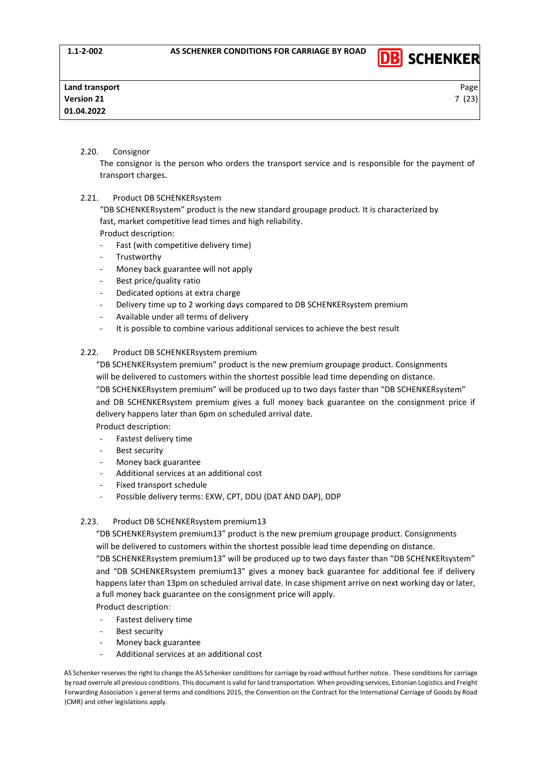

# 2.20. Consignor

The consignor is the person who orders the transport service and is responsible for the payment of transport charges.

## 2.21. Product DB SCHENKERsystem

"DB SCHENKERsystem" product is the new standard groupage product. It is characterized by fast, market competitive lead times and high reliability.

Product description:

- Fast (with competitive delivery time)
- **Trustworthy**
- Money back guarantee will not apply
- Best price/quality ratio
- Dedicated options at extra charge
- Delivery time up to 2 working days compared to DB SCHENKERsystem premium
- Available under all terms of delivery
- It is possible to combine various additional services to achieve the best result

## 2.22. Product DB SCHENKERsystem premium

"DB SCHENKERsystem premium" product is the new premium groupage product. Consignments will be delivered to customers within the shortest possible lead time depending on distance.

"DB SCHENKERsystem premium" will be produced up to two days faster than "DB SCHENKERsystem" and DB SCHENKERsystem premium gives a full money back guarantee on the consignment price if delivery happens later than 6pm on scheduled arrival date.

Product description:

- Fastest delivery time
- Best security
- Money back guarantee
- Additional services at an additional cost
- Fixed transport schedule
- Possible delivery terms: EXW, CPT, DDU (DAT AND DAP), DDP

# 2.23. Product DB SCHENKERsystem premium13

"DB SCHENKERsystem premium13" product is the new premium groupage product. Consignments will be delivered to customers within the shortest possible lead time depending on distance.

"DB SCHENKERsystem premium13" will be produced up to two days faster than "DB SCHENKERsystem" and "DB SCHENKERsystem premium13" gives a money back guarantee for additional fee if delivery happens later than 13pm on scheduled arrival date. In case shipment arrive on next working day or later, a full money back guarantee on the consignment price will apply.

- Product description:
- Fastest delivery time
- Best security
- Money back guarantee
- Additional services at an additional cost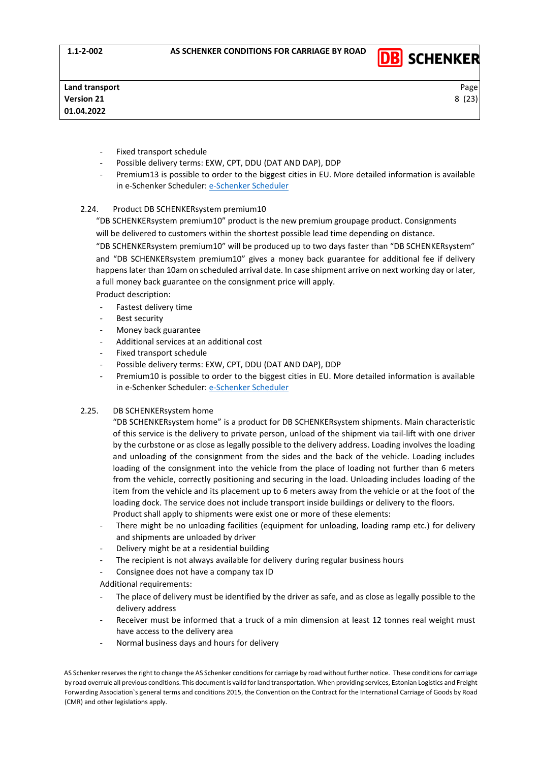

- Fixed transport schedule
- Possible delivery terms: EXW, CPT, DDU (DAT AND DAP), DDP
- Premium13 is possible to order to the biggest cities in EU. More detailed information is available in e-Schenker Scheduler: [e-Schenker Scheduler](https://eschenker.dbschenker.com/nges-portal/public/en-US_EE/#!/scheduling/search-scheduling)

#### 2.24. Product DB SCHENKERsystem premium10

"DB SCHENKERsystem premium10" product is the new premium groupage product. Consignments will be delivered to customers within the shortest possible lead time depending on distance.

"DB SCHENKERsystem premium10" will be produced up to two days faster than "DB SCHENKERsystem" and "DB SCHENKERsystem premium10" gives a money back guarantee for additional fee if delivery happens later than 10am on scheduled arrival date. In case shipment arrive on next working day or later, a full money back guarantee on the consignment price will apply.

Product description:

- Fastest delivery time
- Best security
- Money back guarantee
- Additional services at an additional cost
- Fixed transport schedule
- Possible delivery terms: EXW, CPT, DDU (DAT AND DAP), DDP
- Premium10 is possible to order to the biggest cities in EU. More detailed information is available in [e-Schenker Scheduler](https://eschenker.dbschenker.com/nges-portal/public/en-US_EE/#!/scheduling/search-scheduling): e-Schenker Scheduler

### 2.25. DB SCHENKERsystem home

"DB SCHENKERsystem home" is a product for DB SCHENKERsystem shipments. Main characteristic of this service is the delivery to private person, unload of the shipment via tail-lift with one driver by the curbstone or as close as legally possible to the delivery address. Loading involves the loading and unloading of the consignment from the sides and the back of the vehicle. Loading includes loading of the consignment into the vehicle from the place of loading not further than 6 meters from the vehicle, correctly positioning and securing in the load. Unloading includes loading of the item from the vehicle and its placement up to 6 meters away from the vehicle or at the foot of the loading dock. The service does not include transport inside buildings or delivery to the floors. Product shall apply to shipments were exist one or more of these elements:

- There might be no unloading facilities (equipment for unloading, loading ramp etc.) for delivery and shipments are unloaded by driver
- Delivery might be at a residential building
- The recipient is not always available for delivery during regular business hours
- Consignee does not have a company tax ID
- Additional requirements:
- The place of delivery must be identified by the driver as safe, and as close as legally possible to the delivery address
- Receiver must be informed that a truck of a min dimension at least 12 tonnes real weight must have access to the delivery area
- Normal business days and hours for delivery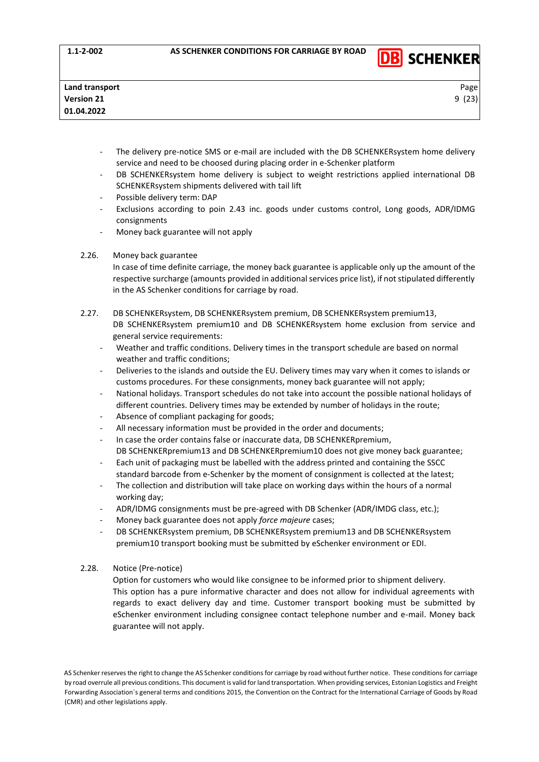

- The delivery pre-notice SMS or e-mail are included with the DB SCHENKERsystem home delivery service and need to be choosed during placing order in e-Schenker platform
- DB SCHENKERsystem home delivery is subject to weight restrictions applied international DB SCHENKERsystem shipments delivered with tail lift
- Possible delivery term: DAP
- Exclusions according to poin 2.43 inc. goods under customs control, Long goods, ADR/IDMG consignments
- Money back guarantee will not apply

## 2.26. Money back guarantee

In case of time definite carriage, the money back guarantee is applicable only up the amount of the respective surcharge (amounts provided in additional services price list), if not stipulated differently in the AS Schenker conditions for carriage by road.

- 2.27. DB SCHENKERsystem, DB SCHENKERsystem premium, DB SCHENKERsystem premium13, DB SCHENKERsystem premium10 and DB SCHENKERsystem home exclusion from service and general service requirements:
	- Weather and traffic conditions. Delivery times in the transport schedule are based on normal weather and traffic conditions;
	- Deliveries to the islands and outside the EU. Delivery times may vary when it comes to islands or customs procedures. For these consignments, money back guarantee will not apply;
	- National holidays. Transport schedules do not take into account the possible national holidays of different countries. Delivery times may be extended by number of holidays in the route;
	- Absence of compliant packaging for goods:
	- All necessary information must be provided in the order and documents;
	- In case the order contains false or inaccurate data, DB SCHENKERpremium, DB SCHENKERpremium13 and DB SCHENKERpremium10 does not give money back guarantee;
	- Each unit of packaging must be labelled with the address printed and containing the SSCC standard barcode from e-Schenker by the moment of consignment is collected at the latest;
	- The collection and distribution will take place on working days within the hours of a normal working day;
	- ADR/IDMG consignments must be pre-agreed with DB Schenker (ADR/IMDG class, etc.);
	- Money back guarantee does not apply *force majeure* cases;
	- DB SCHENKERsystem premium, DB SCHENKERsystem premium13 and DB SCHENKERsystem premium10 transport booking must be submitted by eSchenker environment or EDI.
- 2.28. Notice (Pre-notice)

Option for customers who would like consignee to be informed prior to shipment delivery. This option has a pure informative character and does not allow for individual agreements with regards to exact delivery day and time. Customer transport booking must be submitted by eSchenker environment including consignee contact telephone number and e-mail. Money back guarantee will not apply.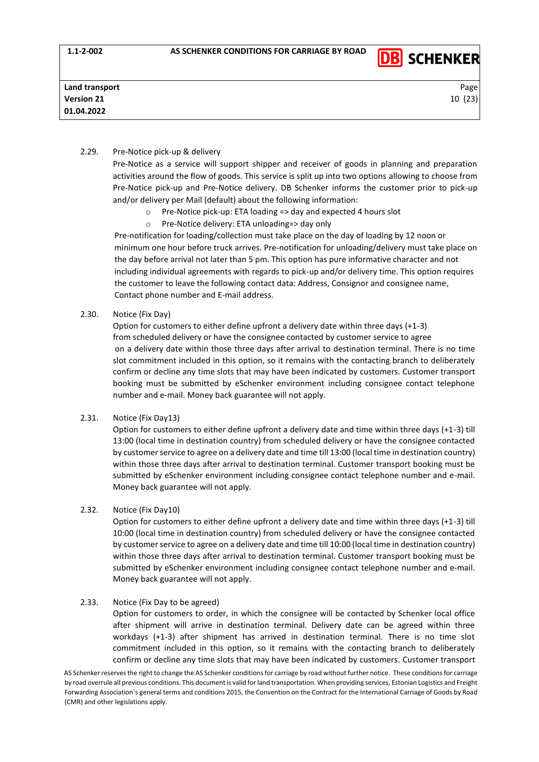

## 2.29. Pre-Notice pick-up & delivery

Pre-Notice as a service will support shipper and receiver of goods in planning and preparation activities around the flow of goods. This service is split up into two options allowing to choose from Pre-Notice pick-up and Pre-Notice delivery. DB Schenker informs the customer prior to pick-up and/or delivery per Mail (default) about the following information:

- o Pre-Notice pick-up: ETA loading => day and expected 4 hours slot
- o Pre-Notice delivery: ETA unloading=> day only

Pre-notification for loading/collection must take place on the day of loading by 12 noon or minimum one hour before truck arrives. Pre-notification for unloading/delivery must take place on the day before arrival not later than 5 pm. This option has pure informative character and not including individual agreements with regards to pick-up and/or delivery time. This option requires the customer to leave the following contact data: Address, Consignor and consignee name, Contact phone number and E-mail address.

#### 2.30. Notice (Fix Day)

Option for customers to either define upfront a delivery date within three days (+1-3) from scheduled delivery or have the consignee contacted by customer service to agree on a delivery date within those three days after arrival to destination terminal. There is no time slot commitment included in this option, so it remains with the contacting branch to deliberately confirm or decline any time slots that may have been indicated by customers. Customer transport booking must be submitted by eSchenker environment including consignee contact telephone number and e-mail. Money back guarantee will not apply.

#### 2.31. Notice (Fix Day13)

Option for customers to either define upfront a delivery date and time within three days (+1-3) till 13:00 (local time in destination country) from scheduled delivery or have the consignee contacted by customer service to agree on a delivery date and time till 13:00 (local time in destination country) within those three days after arrival to destination terminal. Customer transport booking must be submitted by eSchenker environment including consignee contact telephone number and e-mail. Money back guarantee will not apply.

### 2.32. Notice (Fix Day10)

Option for customers to either define upfront a delivery date and time within three days (+1-3) till 10:00 (local time in destination country) from scheduled delivery or have the consignee contacted by customer service to agree on a delivery date and time till 10:00 (local time in destination country) within those three days after arrival to destination terminal. Customer transport booking must be submitted by eSchenker environment including consignee contact telephone number and e-mail. Money back guarantee will not apply.

### 2.33. Notice (Fix Day to be agreed)

Option for customers to order, in which the consignee will be contacted by Schenker local office after shipment will arrive in destination terminal. Delivery date can be agreed within three workdays (+1-3) after shipment has arrived in destination terminal. There is no time slot commitment included in this option, so it remains with the contacting branch to deliberately confirm or decline any time slots that may have been indicated by customers. Customer transport

AS Schenker reserves the right to change the AS Schenker conditions for carriage by road without further notice. These conditions for carriage by road overrule all previous conditions. This document is valid for land transportation. When providing services, Estonian Logistics and Freight Forwarding Association`s general terms and conditions 2015, the Convention on the Contract for the International Carriage of Goods by Road (CMR) and other legislations apply.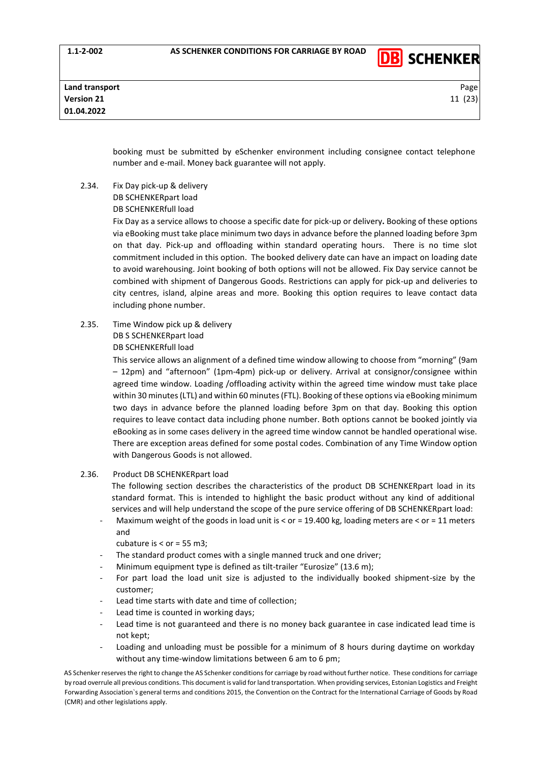

booking must be submitted by eSchenker environment including consignee contact telephone number and e-mail. Money back guarantee will not apply.

2.34. Fix Day pick-up & delivery DB SCHENKERpart load DB SCHENKERfull load

> Fix Day as a service allows to choose a specific date for pick-up or delivery**.** Booking of these options via eBooking must take place minimum two days in advance before the planned loading before 3pm on that day. Pick-up and offloading within standard operating hours. There is no time slot commitment included in this option. The booked delivery date can have an impact on loading date to avoid warehousing. Joint booking of both options will not be allowed. Fix Day service cannot be combined with shipment of Dangerous Goods. Restrictions can apply for pick-up and deliveries to city centres, island, alpine areas and more. Booking this option requires to leave contact data including phone number.

2.35. Time Window pick up & delivery DB S SCHENKERpart load DB SCHENKERfull load

> This service allows an alignment of a defined time window allowing to choose from "morning" (9am – 12pm) and "afternoon" (1pm-4pm) pick-up or delivery. Arrival at consignor/consignee within agreed time window. Loading /offloading activity within the agreed time window must take place within 30 minutes (LTL) and within 60 minutes (FTL). Booking of these options via eBooking minimum two days in advance before the planned loading before 3pm on that day. Booking this option requires to leave contact data including phone number. Both options cannot be booked jointly via eBooking as in some cases delivery in the agreed time window cannot be handled operational wise. There are exception areas defined for some postal codes. Combination of any Time Window option with Dangerous Goods is not allowed.

2.36. Product DB SCHENKERpart load

The following section describes the characteristics of the product DB SCHENKERpart load in its standard format. This is intended to highlight the basic product without any kind of additional services and will help understand the scope of the pure service offering of DB SCHENKERpart load:

- Maximum weight of the goods in load unit is < or = 19.400 kg, loading meters are < or = 11 meters and
	- cubature is  $<$  or = 55 m3:
- The standard product comes with a single manned truck and one driver;
- Minimum equipment type is defined as tilt-trailer "Eurosize" (13.6 m);
- For part load the load unit size is adjusted to the individually booked shipment-size by the customer;
- Lead time starts with date and time of collection;
- Lead time is counted in working days;
- Lead time is not guaranteed and there is no money back guarantee in case indicated lead time is not kept;
- Loading and unloading must be possible for a minimum of 8 hours during daytime on workday without any time-window limitations between 6 am to 6 pm;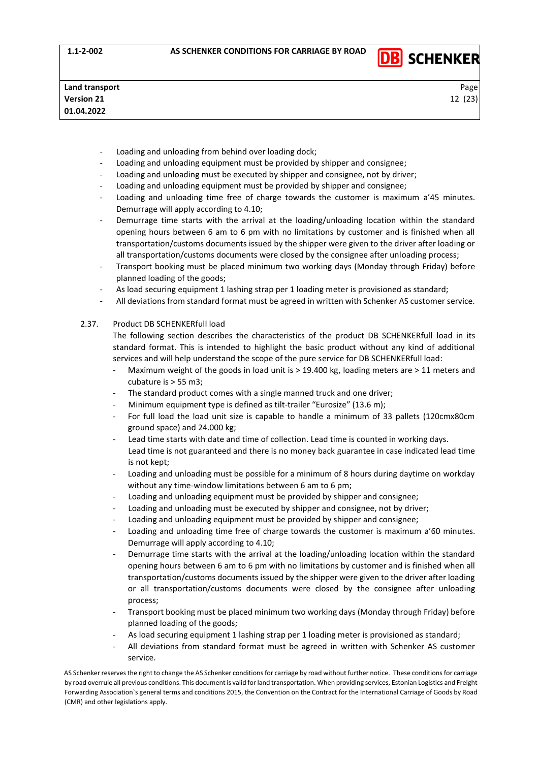

- Loading and unloading from behind over loading dock;
- Loading and unloading equipment must be provided by shipper and consignee;
- Loading and unloading must be executed by shipper and consignee, not by driver;
- Loading and unloading equipment must be provided by shipper and consignee;
- Loading and unloading time free of charge towards the customer is maximum a'45 minutes. Demurrage will apply according to 4.10;
- Demurrage time starts with the arrival at the loading/unloading location within the standard opening hours between 6 am to 6 pm with no limitations by customer and is finished when all transportation/customs documents issued by the shipper were given to the driver after loading or all transportation/customs documents were closed by the consignee after unloading process;
- Transport booking must be placed minimum two working days (Monday through Friday) before planned loading of the goods;
- As load securing equipment 1 lashing strap per 1 loading meter is provisioned as standard;
- All deviations from standard format must be agreed in written with Schenker AS customer service.
- 2.37. Product DB SCHENKERfull load

The following section describes the characteristics of the product DB SCHENKERfull load in its standard format. This is intended to highlight the basic product without any kind of additional services and will help understand the scope of the pure service for DB SCHENKERfull load:

- Maximum weight of the goods in load unit is  $>$  19.400 kg, loading meters are  $>$  11 meters and cubature is > 55 m3;
- The standard product comes with a single manned truck and one driver;
- Minimum equipment type is defined as tilt-trailer "Eurosize" (13.6 m);
- For full load the load unit size is capable to handle a minimum of 33 pallets (120cmx80cm ground space) and 24.000 kg;
- Lead time starts with date and time of collection. Lead time is counted in working days. Lead time is not guaranteed and there is no money back guarantee in case indicated lead time is not kept;
- Loading and unloading must be possible for a minimum of 8 hours during daytime on workday without any time-window limitations between 6 am to 6 pm;
- Loading and unloading equipment must be provided by shipper and consignee;
- Loading and unloading must be executed by shipper and consignee, not by driver;
- Loading and unloading equipment must be provided by shipper and consignee;
- Loading and unloading time free of charge towards the customer is maximum a'60 minutes. Demurrage will apply according to 4.10;
- Demurrage time starts with the arrival at the loading/unloading location within the standard opening hours between 6 am to 6 pm with no limitations by customer and is finished when all transportation/customs documents issued by the shipper were given to the driver after loading or all transportation/customs documents were closed by the consignee after unloading process;
- Transport booking must be placed minimum two working days (Monday through Friday) before planned loading of the goods;
- As load securing equipment 1 lashing strap per 1 loading meter is provisioned as standard;
- All deviations from standard format must be agreed in written with Schenker AS customer service.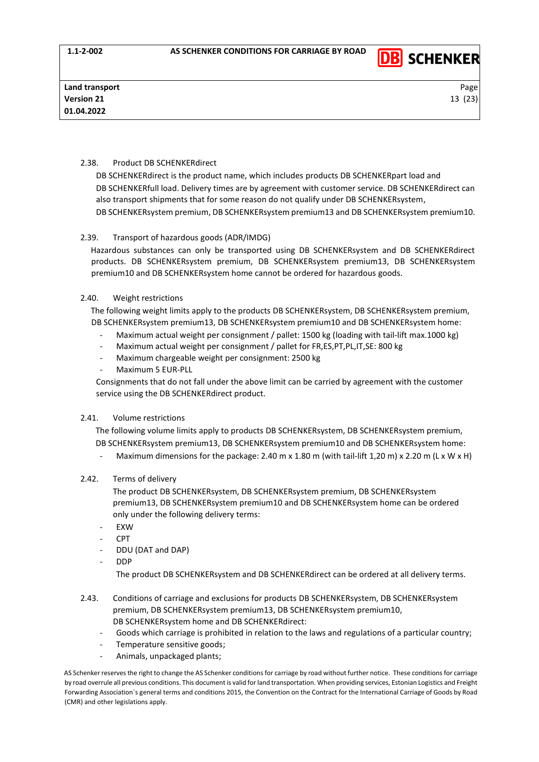

# 2.38. Product DB SCHENKERdirect

DB SCHENKERdirect is the product name, which includes products DB SCHENKERpart load and DB SCHENKERfull load. Delivery times are by agreement with customer service. DB SCHENKERdirect can also transport shipments that for some reason do not qualify under DB SCHENKERsystem, DB SCHENKERsystem premium, DB SCHENKERsystem premium13 and DB SCHENKERsystem premium10.

# 2.39. Transport of hazardous goods (ADR/IMDG)

Hazardous substances can only be transported using DB SCHENKERsystem and DB SCHENKERdirect products. DB SCHENKERsystem premium, DB SCHENKERsystem premium13, DB SCHENKERsystem premium10 and DB SCHENKERsystem home cannot be ordered for hazardous goods.

## 2.40. Weight restrictions

The following weight limits apply to the products DB SCHENKERsystem, DB SCHENKERsystem premium, DB SCHENKERsystem premium13, DB SCHENKERsystem premium10 and DB SCHENKERsystem home:

- Maximum actual weight per consignment / pallet: 1500 kg (loading with tail-lift max.1000 kg)
- Maximum actual weight per consignment / pallet for FR,ES,PT,PL,IT,SE: 800 kg
- Maximum chargeable weight per consignment: 2500 kg
- Maximum 5 EUR-PLL

Consignments that do not fall under the above limit can be carried by agreement with the customer service using the DB SCHENKERdirect product.

# 2.41. Volume restrictions

The following volume limits apply to products DB SCHENKERsystem, DB SCHENKERsystem premium, DB SCHENKERsystem premium13, DB SCHENKERsystem premium10 and DB SCHENKERsystem home:

Maximum dimensions for the package: 2.40 m x 1.80 m (with tail-lift 1,20 m) x 2.20 m (L x W x H)

# 2.42. Terms of delivery

The product DB SCHENKERsystem, DB SCHENKERsystem premium, DB SCHENKERsystem premium13, DB SCHENKERsystem premium10 and DB SCHENKERsystem home can be ordered only under the following delivery terms:

- EXW
- CPT
- DDU (DAT and DAP)
- DDP

The product DB SCHENKERsystem and DB SCHENKERdirect can be ordered at all delivery terms.

- 2.43. Conditions of carriage and exclusions for products DB SCHENKERsystem, DB SCHENKERsystem premium, DB SCHENKERsystem premium13, DB SCHENKERsystem premium10, DB SCHENKERsystem home and DB SCHENKERdirect:
	- Goods which carriage is prohibited in relation to the laws and regulations of a particular country;
	- Temperature sensitive goods;
	- Animals, unpackaged plants;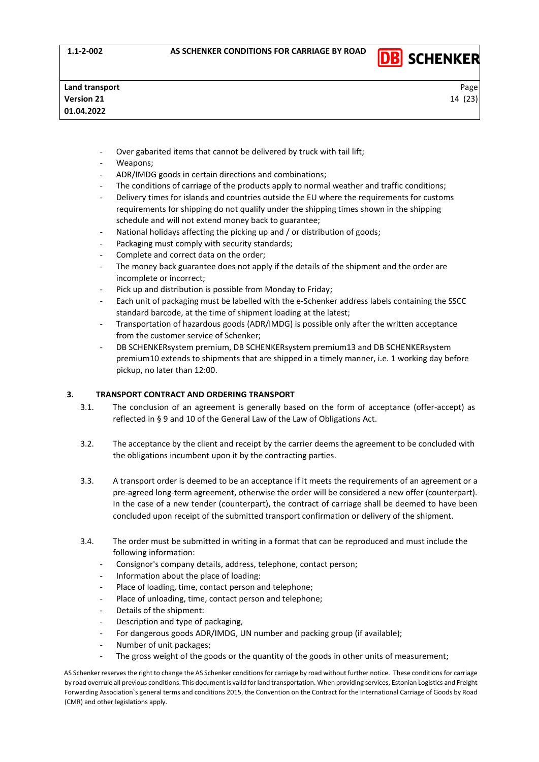

- Over gabarited items that cannot be delivered by truck with tail lift;
- Weapons;
- ADR/IMDG goods in certain directions and combinations;
- The conditions of carriage of the products apply to normal weather and traffic conditions;
- Delivery times for islands and countries outside the EU where the requirements for customs requirements for shipping do not qualify under the shipping times shown in the shipping schedule and will not extend money back to guarantee;
- National holidays affecting the picking up and / or distribution of goods;
- Packaging must comply with security standards;
- Complete and correct data on the order;
- The money back guarantee does not apply if the details of the shipment and the order are incomplete or incorrect;
- Pick up and distribution is possible from Monday to Friday;
- Each unit of packaging must be labelled with the e-Schenker address labels containing the SSCC standard barcode, at the time of shipment loading at the latest;
- Transportation of hazardous goods (ADR/IMDG) is possible only after the written acceptance from the customer service of Schenker;
- DB SCHENKERsystem premium, DB SCHENKERsystem premium13 and DB SCHENKERsystem premium10 extends to shipments that are shipped in a timely manner, i.e. 1 working day before pickup, no later than 12:00.

# <span id="page-13-0"></span>**3. TRANSPORT CONTRACT AND ORDERING TRANSPORT**

- 3.1. The conclusion of an agreement is generally based on the form of acceptance (offer-accept) as reflected in § 9 and 10 of the General Law of the Law of Obligations Act.
- 3.2. The acceptance by the client and receipt by the carrier deems the agreement to be concluded with the obligations incumbent upon it by the contracting parties.
- 3.3. A transport order is deemed to be an acceptance if it meets the requirements of an agreement or a pre-agreed long-term agreement, otherwise the order will be considered a new offer (counterpart). In the case of a new tender (counterpart), the contract of carriage shall be deemed to have been concluded upon receipt of the submitted transport confirmation or delivery of the shipment.
- 3.4. The order must be submitted in writing in a format that can be reproduced and must include the following information:
	- Consignor's company details, address, telephone, contact person;
	- Information about the place of loading:
	- Place of loading, time, contact person and telephone;
	- Place of unloading, time, contact person and telephone;
	- Details of the shipment:
	- Description and type of packaging,
	- For dangerous goods ADR/IMDG, UN number and packing group (if available);
	- Number of unit packages;
	- The gross weight of the goods or the quantity of the goods in other units of measurement;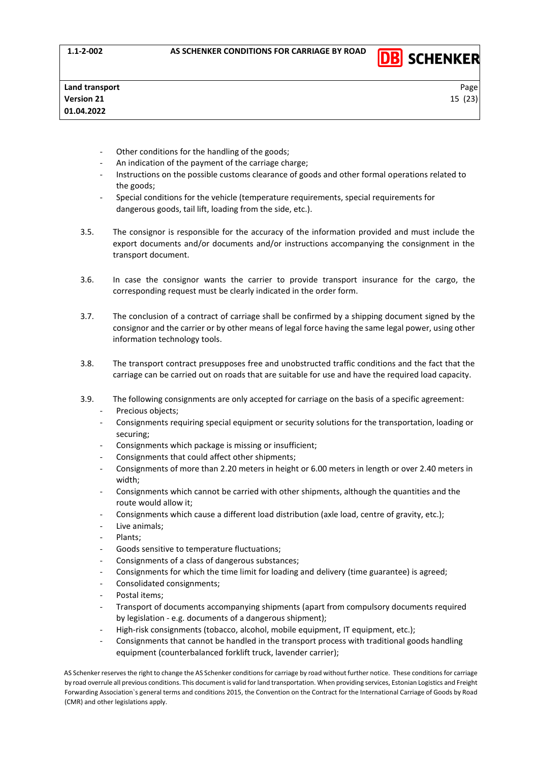

- Other conditions for the handling of the goods;
- An indication of the payment of the carriage charge;
- Instructions on the possible customs clearance of goods and other formal operations related to the goods;
- Special conditions for the vehicle (temperature requirements, special requirements for dangerous goods, tail lift, loading from the side, etc.).
- 3.5. The consignor is responsible for the accuracy of the information provided and must include the export documents and/or documents and/or instructions accompanying the consignment in the transport document.
- 3.6. In case the consignor wants the carrier to provide transport insurance for the cargo, the corresponding request must be clearly indicated in the order form.
- 3.7. The conclusion of a contract of carriage shall be confirmed by a shipping document signed by the consignor and the carrier or by other means of legal force having the same legal power, using other information technology tools.
- 3.8. The transport contract presupposes free and unobstructed traffic conditions and the fact that the carriage can be carried out on roads that are suitable for use and have the required load capacity.
- 3.9. The following consignments are only accepted for carriage on the basis of a specific agreement: Precious objects;
	- Consignments requiring special equipment or security solutions for the transportation, loading or securing;
	- Consignments which package is missing or insufficient;
	- Consignments that could affect other shipments;
	- Consignments of more than 2.20 meters in height or 6.00 meters in length or over 2.40 meters in width;
	- Consignments which cannot be carried with other shipments, although the quantities and the route would allow it;
	- Consignments which cause a different load distribution (axle load, centre of gravity, etc.);
	- Live animals;
	- Plants;
	- Goods sensitive to temperature fluctuations;
	- Consignments of a class of dangerous substances;
	- Consignments for which the time limit for loading and delivery (time guarantee) is agreed;
	- Consolidated consignments;
	- Postal items:
	- Transport of documents accompanying shipments (apart from compulsory documents required by legislation - e.g. documents of a dangerous shipment);
	- High-risk consignments (tobacco, alcohol, mobile equipment, IT equipment, etc.);
	- Consignments that cannot be handled in the transport process with traditional goods handling equipment (counterbalanced forklift truck, lavender carrier);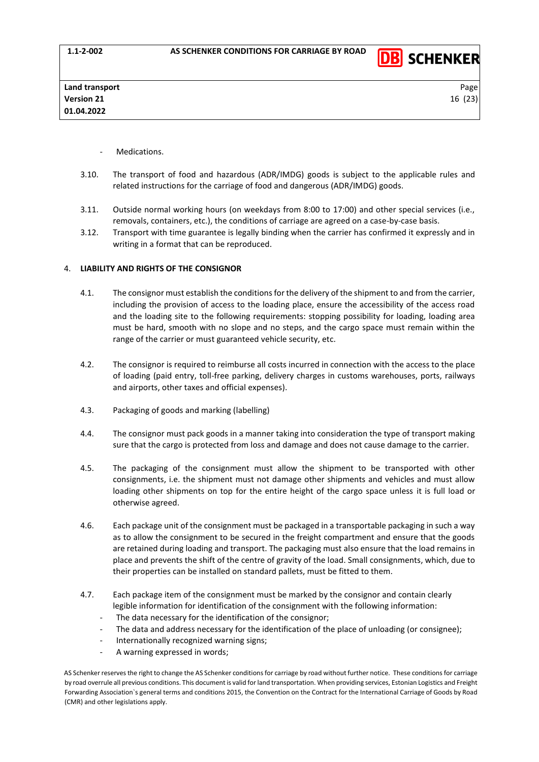

- Medications.
- 3.10. The transport of food and hazardous (ADR/IMDG) goods is subject to the applicable rules and related instructions for the carriage of food and dangerous (ADR/IMDG) goods.
- 3.11. Outside normal working hours (on weekdays from 8:00 to 17:00) and other special services (i.e., removals, containers, etc.), the conditions of carriage are agreed on a case-by-case basis.
- 3.12. Transport with time guarantee is legally binding when the carrier has confirmed it expressly and in writing in a format that can be reproduced.

#### <span id="page-15-0"></span>4. **LIABILITY AND RIGHTS OF THE CONSIGNOR**

- 4.1. The consignor must establish the conditions for the delivery of the shipment to and from the carrier, including the provision of access to the loading place, ensure the accessibility of the access road and the loading site to the following requirements: stopping possibility for loading, loading area must be hard, smooth with no slope and no steps, and the cargo space must remain within the range of the carrier or must guaranteed vehicle security, etc.
- 4.2. The consignor is required to reimburse all costs incurred in connection with the access to the place of loading (paid entry, toll-free parking, delivery charges in customs warehouses, ports, railways and airports, other taxes and official expenses).
- 4.3. Packaging of goods and marking (labelling)
- 4.4. The consignor must pack goods in a manner taking into consideration the type of transport making sure that the cargo is protected from loss and damage and does not cause damage to the carrier.
- 4.5. The packaging of the consignment must allow the shipment to be transported with other consignments, i.e. the shipment must not damage other shipments and vehicles and must allow loading other shipments on top for the entire height of the cargo space unless it is full load or otherwise agreed.
- 4.6. Each package unit of the consignment must be packaged in a transportable packaging in such a way as to allow the consignment to be secured in the freight compartment and ensure that the goods are retained during loading and transport. The packaging must also ensure that the load remains in place and prevents the shift of the centre of gravity of the load. Small consignments, which, due to their properties can be installed on standard pallets, must be fitted to them.
- 4.7. Each package item of the consignment must be marked by the consignor and contain clearly legible information for identification of the consignment with the following information:
	- The data necessary for the identification of the consignor;
	- The data and address necessary for the identification of the place of unloading (or consignee);
	- Internationally recognized warning signs;
	- A warning expressed in words;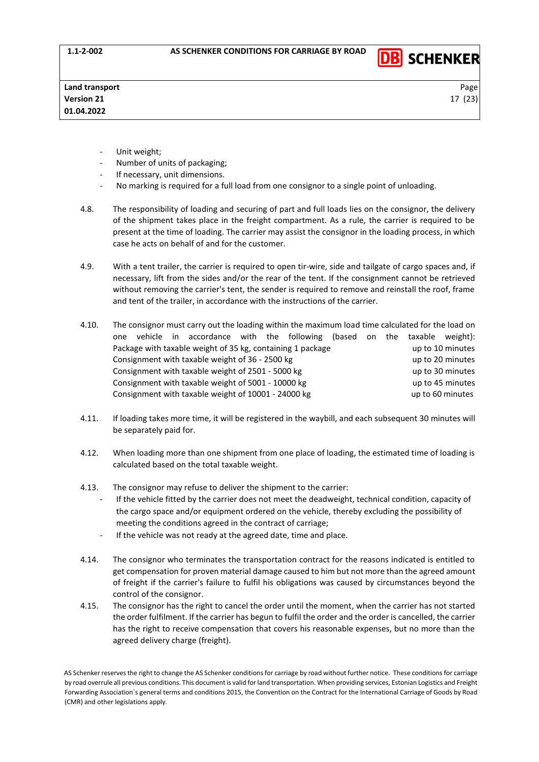

- Unit weight;
- Number of units of packaging;
- If necessary, unit dimensions.
- No marking is required for a full load from one consignor to a single point of unloading.
- 4.8. The responsibility of loading and securing of part and full loads lies on the consignor, the delivery of the shipment takes place in the freight compartment. As a rule, the carrier is required to be present at the time of loading. The carrier may assist the consignor in the loading process, in which case he acts on behalf of and for the customer.
- 4.9. With a tent trailer, the carrier is required to open tir-wire, side and tailgate of cargo spaces and, if necessary, lift from the sides and/or the rear of the tent. If the consignment cannot be retrieved without removing the carrier's tent, the sender is required to remove and reinstall the roof, frame and tent of the trailer, in accordance with the instructions of the carrier.
- 4.10. The consignor must carry out the loading within the maximum load time calculated for the load on one vehicle in accordance with the following (based on the taxable weight): Package with taxable weight of 35 kg, containing 1 package under the up to 10 minutes Consignment with taxable weight of 36 - 2500 kg up to 20 minutes Consignment with taxable weight of 2501 - 5000 kg up to 30 minutes Consignment with taxable weight of 5001 - 10000 kg up to 45 minutes Consignment with taxable weight of 10001 - 24000 kg up to 60 minutes
- 4.11. If loading takes more time, it will be registered in the waybill, and each subsequent 30 minutes will be separately paid for.
- 4.12. When loading more than one shipment from one place of loading, the estimated time of loading is calculated based on the total taxable weight.
- 4.13. The consignor may refuse to deliver the shipment to the carrier:
	- If the vehicle fitted by the carrier does not meet the deadweight, technical condition, capacity of the cargo space and/or equipment ordered on the vehicle, thereby excluding the possibility of meeting the conditions agreed in the contract of carriage;
	- If the vehicle was not ready at the agreed date, time and place.
- 4.14. The consignor who terminates the transportation contract for the reasons indicated is entitled to get compensation for proven material damage caused to him but not more than the agreed amount of freight if the carrier's failure to fulfil his obligations was caused by circumstances beyond the control of the consignor.
- 4.15. The consignor has the right to cancel the order until the moment, when the carrier has not started the order fulfilment. If the carrier has begun to fulfil the order and the order is cancelled, the carrier has the right to receive compensation that covers his reasonable expenses, but no more than the agreed delivery charge (freight).

AS Schenker reserves the right to change the AS Schenker conditions for carriage by road without further notice. These conditions for carriage by road overrule all previous conditions. This document is valid for land transportation. When providing services, Estonian Logistics and Freight Forwarding Association`s general terms and conditions 2015, the Convention on the Contract for the International Carriage of Goods by Road (CMR) and other legislations apply.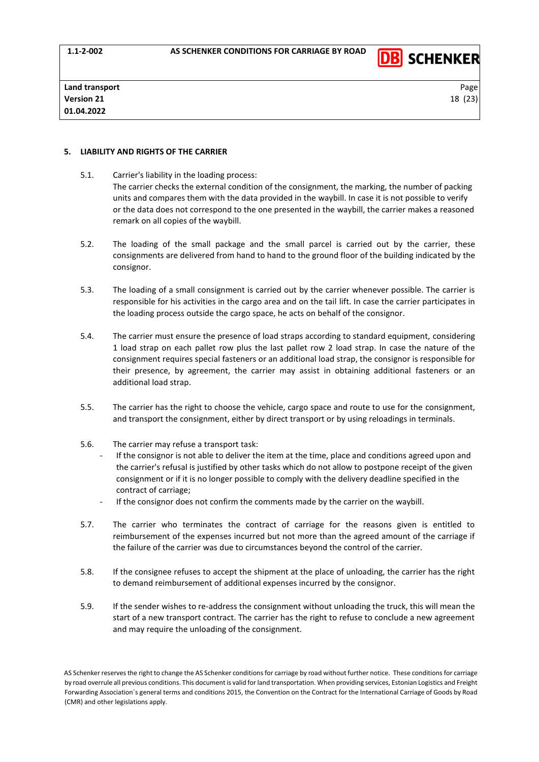

### <span id="page-17-0"></span>**5. LIABILITY AND RIGHTS OF THE CARRIER**

- 5.1. Carrier's liability in the loading process: The carrier checks the external condition of the consignment, the marking, the number of packing units and compares them with the data provided in the waybill. In case it is not possible to verify or the data does not correspond to the one presented in the waybill, the carrier makes a reasoned remark on all copies of the waybill.
- 5.2. The loading of the small package and the small parcel is carried out by the carrier, these consignments are delivered from hand to hand to the ground floor of the building indicated by the consignor.
- 5.3. The loading of a small consignment is carried out by the carrier whenever possible. The carrier is responsible for his activities in the cargo area and on the tail lift. In case the carrier participates in the loading process outside the cargo space, he acts on behalf of the consignor.
- 5.4. The carrier must ensure the presence of load straps according to standard equipment, considering 1 load strap on each pallet row plus the last pallet row 2 load strap. In case the nature of the consignment requires special fasteners or an additional load strap, the consignor is responsible for their presence, by agreement, the carrier may assist in obtaining additional fasteners or an additional load strap.
- 5.5. The carrier has the right to choose the vehicle, cargo space and route to use for the consignment, and transport the consignment, either by direct transport or by using reloadings in terminals.
- 5.6. The carrier may refuse a transport task:
	- If the consignor is not able to deliver the item at the time, place and conditions agreed upon and the carrier's refusal is justified by other tasks which do not allow to postpone receipt of the given consignment or if it is no longer possible to comply with the delivery deadline specified in the contract of carriage;
	- If the consignor does not confirm the comments made by the carrier on the waybill.
- 5.7. The carrier who terminates the contract of carriage for the reasons given is entitled to reimbursement of the expenses incurred but not more than the agreed amount of the carriage if the failure of the carrier was due to circumstances beyond the control of the carrier.
- 5.8. If the consignee refuses to accept the shipment at the place of unloading, the carrier has the right to demand reimbursement of additional expenses incurred by the consignor.
- 5.9. If the sender wishes to re-address the consignment without unloading the truck, this will mean the start of a new transport contract. The carrier has the right to refuse to conclude a new agreement and may require the unloading of the consignment.

AS Schenker reserves the right to change the AS Schenker conditions for carriage by road without further notice. These conditions for carriage by road overrule all previous conditions. This document is valid for land transportation. When providing services, Estonian Logistics and Freight Forwarding Association`s general terms and conditions 2015, the Convention on the Contract for the International Carriage of Goods by Road (CMR) and other legislations apply.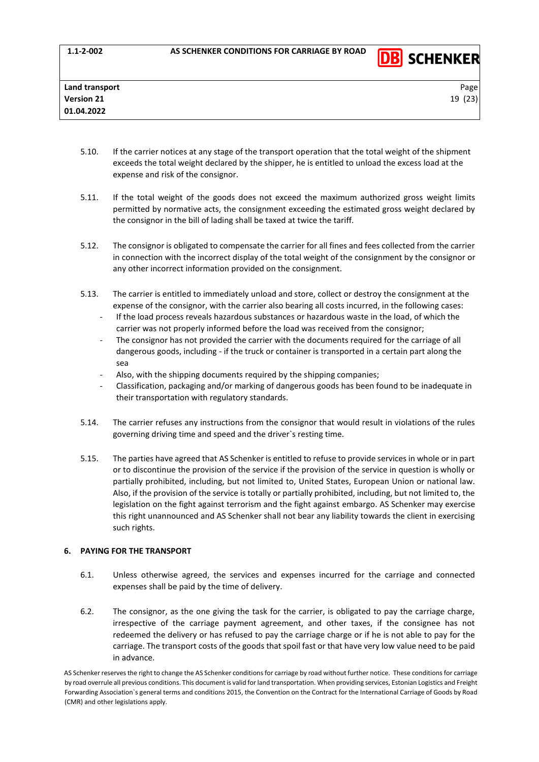

- 5.10. If the carrier notices at any stage of the transport operation that the total weight of the shipment exceeds the total weight declared by the shipper, he is entitled to unload the excess load at the expense and risk of the consignor.
- 5.11. If the total weight of the goods does not exceed the maximum authorized gross weight limits permitted by normative acts, the consignment exceeding the estimated gross weight declared by the consignor in the bill of lading shall be taxed at twice the tariff.
- 5.12. The consignor is obligated to compensate the carrier for all fines and fees collected from the carrier in connection with the incorrect display of the total weight of the consignment by the consignor or any other incorrect information provided on the consignment.
- 5.13. The carrier is entitled to immediately unload and store, collect or destroy the consignment at the expense of the consignor, with the carrier also bearing all costs incurred, in the following cases:
	- If the load process reveals hazardous substances or hazardous waste in the load, of which the carrier was not properly informed before the load was received from the consignor;
	- The consignor has not provided the carrier with the documents required for the carriage of all dangerous goods, including - if the truck or container is transported in a certain part along the sea
	- Also, with the shipping documents required by the shipping companies;
	- Classification, packaging and/or marking of dangerous goods has been found to be inadequate in their transportation with regulatory standards.
- 5.14. The carrier refuses any instructions from the consignor that would result in violations of the rules governing driving time and speed and the driver`s resting time.
- 5.15. The parties have agreed that AS Schenker is entitled to refuse to provide services in whole or in part or to discontinue the provision of the service if the provision of the service in question is wholly or partially prohibited, including, but not limited to, United States, European Union or national law. Also, if the provision of the service is totally or partially prohibited, including, but not limited to, the legislation on the fight against terrorism and the fight against embargo. AS Schenker may exercise this right unannounced and AS Schenker shall not bear any liability towards the client in exercising such rights.

# <span id="page-18-0"></span>**6. PAYING FOR THE TRANSPORT**

- 6.1. Unless otherwise agreed, the services and expenses incurred for the carriage and connected expenses shall be paid by the time of delivery.
- 6.2. The consignor, as the one giving the task for the carrier, is obligated to pay the carriage charge, irrespective of the carriage payment agreement, and other taxes, if the consignee has not redeemed the delivery or has refused to pay the carriage charge or if he is not able to pay for the carriage. The transport costs of the goods that spoil fast or that have very low value need to be paid in advance.

AS Schenker reserves the right to change the AS Schenker conditions for carriage by road without further notice. These conditions for carriage by road overrule all previous conditions. This document is valid for land transportation. When providing services, Estonian Logistics and Freight Forwarding Association`s general terms and conditions 2015, the Convention on the Contract for the International Carriage of Goods by Road (CMR) and other legislations apply.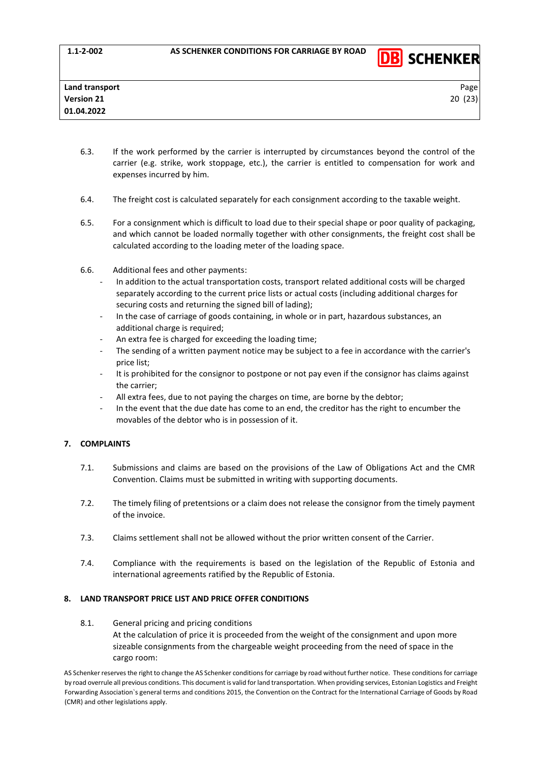

- 6.3. If the work performed by the carrier is interrupted by circumstances beyond the control of the carrier (e.g. strike, work stoppage, etc.), the carrier is entitled to compensation for work and expenses incurred by him.
- 6.4. The freight cost is calculated separately for each consignment according to the taxable weight.
- 6.5. For a consignment which is difficult to load due to their special shape or poor quality of packaging, and which cannot be loaded normally together with other consignments, the freight cost shall be calculated according to the loading meter of the loading space.
- 6.6. Additional fees and other payments:
	- In addition to the actual transportation costs, transport related additional costs will be charged separately according to the current price lists or actual costs (including additional charges for securing costs and returning the signed bill of lading);
	- In the case of carriage of goods containing, in whole or in part, hazardous substances, an additional charge is required;
	- An extra fee is charged for exceeding the loading time;
	- The sending of a written payment notice may be subject to a fee in accordance with the carrier's price list;
	- It is prohibited for the consignor to postpone or not pay even if the consignor has claims against the carrier;
	- All extra fees, due to not paying the charges on time, are borne by the debtor;
	- In the event that the due date has come to an end, the creditor has the right to encumber the movables of the debtor who is in possession of it.

# <span id="page-19-0"></span>**7. COMPLAINTS**

- 7.1. Submissions and claims are based on the provisions of the Law of Obligations Act and the CMR Convention. Claims must be submitted in writing with supporting documents.
- 7.2. The timely filing of pretentsions or a claim does not release the consignor from the timely payment of the invoice.
- 7.3. Claims settlement shall not be allowed without the prior written consent of the Carrier.
- 7.4. Compliance with the requirements is based on the legislation of the Republic of Estonia and international agreements ratified by the Republic of Estonia.

# <span id="page-19-1"></span>**8. LAND TRANSPORT PRICE LIST AND PRICE OFFER CONDITIONS**

8.1. General pricing and pricing conditions At the calculation of price it is proceeded from the weight of the consignment and upon more sizeable consignments from the chargeable weight proceeding from the need of space in the cargo room: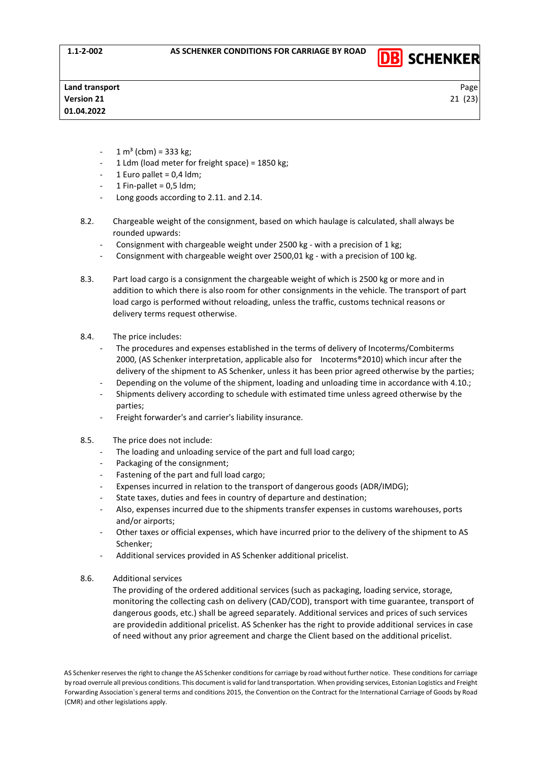

**DB** SCHENKER

- $1 m<sup>3</sup>$  (cbm) = 333 kg;
- 1 Ldm (load meter for freight space) = 1850 kg;
- $-1$  Euro pallet = 0,4 ldm;
- 1 Fin-pallet =  $0.5$  ldm;
- Long goods according to 2.11. and 2.14.
- 8.2. Chargeable weight of the consignment, based on which haulage is calculated, shall always be rounded upwards:
	- Consignment with chargeable weight under 2500 kg with a precision of 1 kg;
	- Consignment with chargeable weight over 2500,01 kg with a precision of 100 kg.
- 8.3. Part load cargo is a consignment the chargeable weight of which is 2500 kg or more and in addition to which there is also room for other consignments in the vehicle. The transport of part load cargo is performed without reloading, unless the traffic, customs technical reasons or delivery terms request otherwise.
- 8.4. The price includes:
	- The procedures and expenses established in the terms of delivery of Incoterms/Combiterms 2000, (AS Schenker interpretation, applicable also for Incoterms®2010) which incur after the delivery of the shipment to AS Schenker, unless it has been prior agreed otherwise by the parties;
	- Depending on the volume of the shipment, loading and unloading time in accordance with 4.10.;
	- Shipments delivery according to schedule with estimated time unless agreed otherwise by the parties;
	- Freight forwarder's and carrier's liability insurance.
- 8.5. The price does not include:
	- The loading and unloading service of the part and full load cargo:
	- Packaging of the consignment;
	- Fastening of the part and full load cargo;
	- Expenses incurred in relation to the transport of dangerous goods (ADR/IMDG);
	- State taxes, duties and fees in country of departure and destination;
	- Also, expenses incurred due to the shipments transfer expenses in customs warehouses, ports and/or airports;
	- Other taxes or official expenses, which have incurred prior to the delivery of the shipment to AS Schenker;
	- Additional services provided in AS Schenker additional pricelist.
- 8.6. Additional services

The providing of the ordered additional services (such as packaging, loading service, storage, monitoring the collecting cash on delivery (CAD/COD), transport with time guarantee, transport of dangerous goods, etc.) shall be agreed separately. Additional services and prices of such services are providedin additional pricelist. AS Schenker has the right to provide additional services in case of need without any prior agreement and charge the Client based on the additional pricelist.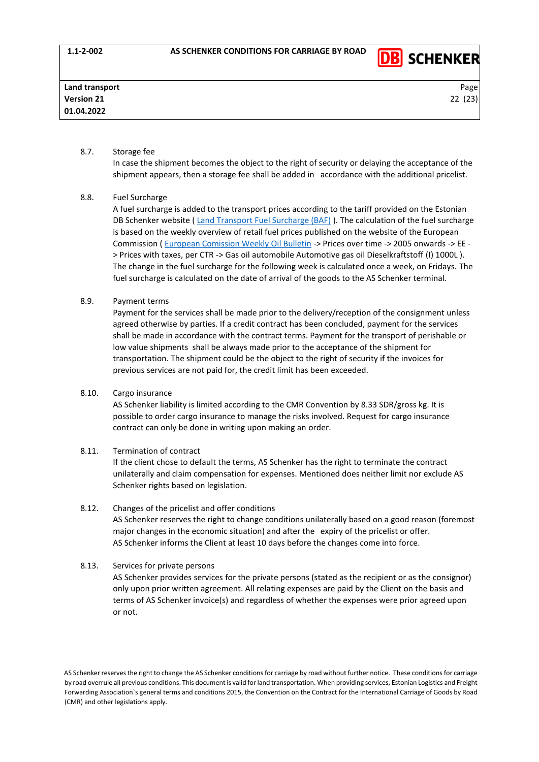

### 8.7. Storage fee

In case the shipment becomes the object to the right of security or delaying the acceptance of the shipment appears, then a storage fee shall be added in accordance with the additional pricelist.

## 8.8. Fuel Surcharge

A fuel surcharge is added to the transport prices according to the tariff provided on the Estonian DB Schenker website [\( Land Transport Fuel Surcharge \(BAF\)](https://www.dbschenker.com/ee-en/products/land-transport/fuel-surcharge) ). The calculation of the fuel surcharge is based on the weekly overview of retail fuel prices published on the website of the European Commission ( [European Comission Weekly Oil Bulletin](https://ec.europa.eu/energy/data-analysis/weekly-oil-bulletin_en?redir=1) -> Prices over time -> 2005 onwards -> EE - > Prices with taxes, per CTR -> Gas oil automobile Automotive gas oil Dieselkraftstoff (I) 1000L ). The change in the fuel surcharge for the following week is calculated once a week, on Fridays. The fuel surcharge is calculated on the date of arrival of the goods to the AS Schenker terminal.

# 8.9. Payment terms

Payment for the services shall be made prior to the delivery/reception of the consignment unless agreed otherwise by parties. If a credit contract has been concluded, payment for the services shall be made in accordance with the contract terms. Payment for the transport of perishable or low value shipments shall be always made prior to the acceptance of the shipment for transportation. The shipment could be the object to the right of security if the invoices for previous services are not paid for, the credit limit has been exceeded.

#### 8.10. Cargo insurance

AS Schenker liability is limited according to the CMR Convention by 8.33 SDR/gross kg. It is possible to order cargo insurance to manage the risks involved. Request for cargo insurance contract can only be done in writing upon making an order.

## 8.11. Termination of contract

If the client chose to default the terms, AS Schenker has the right to terminate the contract unilaterally and claim compensation for expenses. Mentioned does neither limit nor exclude AS Schenker rights based on legislation.

8.12. Changes of the pricelist and offer conditions AS Schenker reserves the right to change conditions unilaterally based on a good reason (foremost major changes in the economic situation) and after the expiry of the pricelist or offer. AS Schenker informs the Client at least 10 days before the changes come into force.

# 8.13. Services for private persons

AS Schenker provides services for the private persons (stated as the recipient or as the consignor) only upon prior written agreement. All relating expenses are paid by the Client on the basis and terms of AS Schenker invoice(s) and regardless of whether the expenses were prior agreed upon or not.